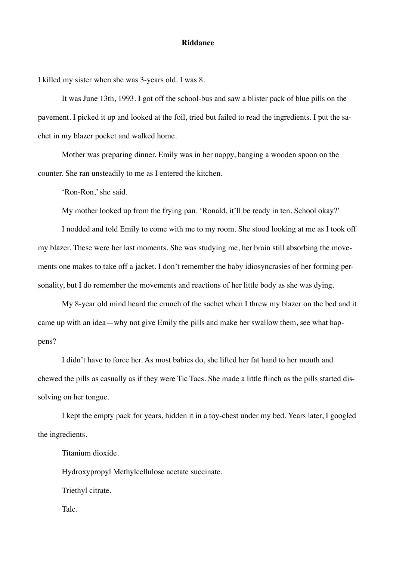## **Riddance**

I killed my sister when she was 3-years old. I was 8.

It was June 13th, 1993. I got off the school-bus and saw a blister pack of blue pills on the pavement. I picked it up and looked at the foil, tried but failed to read the ingredients. I put the sachet in my blazer pocket and walked home.

Mother was preparing dinner. Emily was in her nappy, banging a wooden spoon on the counter. She ran unsteadily to me as I entered the kitchen.

'Ron-Ron,' she said.

My mother looked up from the frying pan. 'Ronald, it'll be ready in ten. School okay?'

I nodded and told Emily to come with me to my room. She stood looking at me as I took off my blazer. These were her last moments. She was studying me, her brain still absorbing the movements one makes to take off a jacket. I don't remember the baby idiosyncrasies of her forming personality, but I do remember the movements and reactions of her little body as she was dying.

My 8-year old mind heard the crunch of the sachet when I threw my blazer on the bed and it came up with an idea—why not give Emily the pills and make her swallow them, see what happens?

I didn't have to force her. As most babies do, she lifted her fat hand to her mouth and chewed the pills as casually as if they were Tic Tacs. She made a little flinch as the pills started dissolving on her tongue.

I kept the empty pack for years, hidden it in a toy-chest under my bed. Years later, I googled the ingredients.

Titanium dioxide.

Hydroxypropyl Methylcellulose acetate succinate.

Triethyl citrate.

Talc.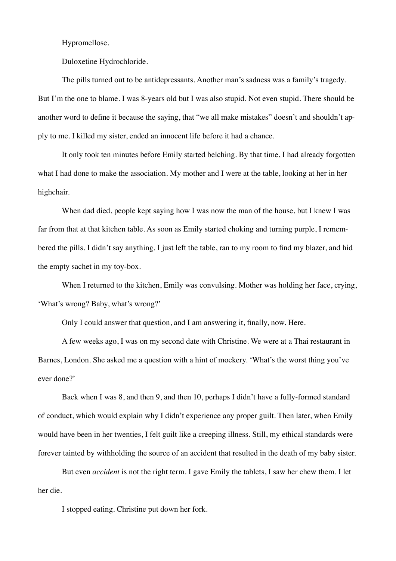Hypromellose.

Duloxetine Hydrochloride.

The pills turned out to be antidepressants. Another man's sadness was a family's tragedy. But I'm the one to blame. I was 8-years old but I was also stupid. Not even stupid. There should be another word to define it because the saying, that "we all make mistakes" doesn't and shouldn't apply to me. I killed my sister, ended an innocent life before it had a chance.

It only took ten minutes before Emily started belching. By that time, I had already forgotten what I had done to make the association. My mother and I were at the table, looking at her in her highchair.

When dad died, people kept saying how I was now the man of the house, but I knew I was far from that at that kitchen table. As soon as Emily started choking and turning purple, I remembered the pills. I didn't say anything. I just left the table, ran to my room to find my blazer, and hid the empty sachet in my toy-box.

When I returned to the kitchen, Emily was convulsing. Mother was holding her face, crying, 'What's wrong? Baby, what's wrong?'

Only I could answer that question, and I am answering it, finally, now. Here.

A few weeks ago, I was on my second date with Christine. We were at a Thai restaurant in Barnes, London. She asked me a question with a hint of mockery. 'What's the worst thing you've ever done?'

Back when I was 8, and then 9, and then 10, perhaps I didn't have a fully-formed standard of conduct, which would explain why I didn't experience any proper guilt. Then later, when Emily would have been in her twenties, I felt guilt like a creeping illness. Still, my ethical standards were forever tainted by withholding the source of an accident that resulted in the death of my baby sister.

But even *accident* is not the right term. I gave Emily the tablets, I saw her chew them. I let her die.

I stopped eating. Christine put down her fork.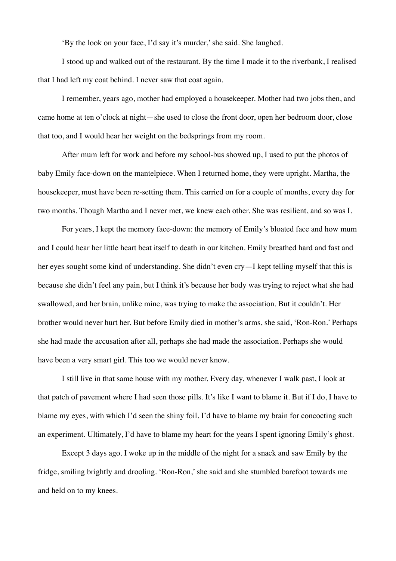'By the look on your face, I'd say it's murder,' she said. She laughed.

I stood up and walked out of the restaurant. By the time I made it to the riverbank, I realised that I had left my coat behind. I never saw that coat again.

I remember, years ago, mother had employed a housekeeper. Mother had two jobs then, and came home at ten o'clock at night—she used to close the front door, open her bedroom door, close that too, and I would hear her weight on the bedsprings from my room.

After mum left for work and before my school-bus showed up, I used to put the photos of baby Emily face-down on the mantelpiece. When I returned home, they were upright. Martha, the housekeeper, must have been re-setting them. This carried on for a couple of months, every day for two months. Though Martha and I never met, we knew each other. She was resilient, and so was I.

For years, I kept the memory face-down: the memory of Emily's bloated face and how mum and I could hear her little heart beat itself to death in our kitchen. Emily breathed hard and fast and her eyes sought some kind of understanding. She didn't even cry—I kept telling myself that this is because she didn't feel any pain, but I think it's because her body was trying to reject what she had swallowed, and her brain, unlike mine, was trying to make the association. But it couldn't. Her brother would never hurt her. But before Emily died in mother's arms, she said, 'Ron-Ron.' Perhaps she had made the accusation after all, perhaps she had made the association. Perhaps she would have been a very smart girl. This too we would never know.

I still live in that same house with my mother. Every day, whenever I walk past, I look at that patch of pavement where I had seen those pills. It's like I want to blame it. But if I do, I have to blame my eyes, with which I'd seen the shiny foil. I'd have to blame my brain for concocting such an experiment. Ultimately, I'd have to blame my heart for the years I spent ignoring Emily's ghost.

Except 3 days ago. I woke up in the middle of the night for a snack and saw Emily by the fridge, smiling brightly and drooling. 'Ron-Ron,' she said and she stumbled barefoot towards me and held on to my knees.